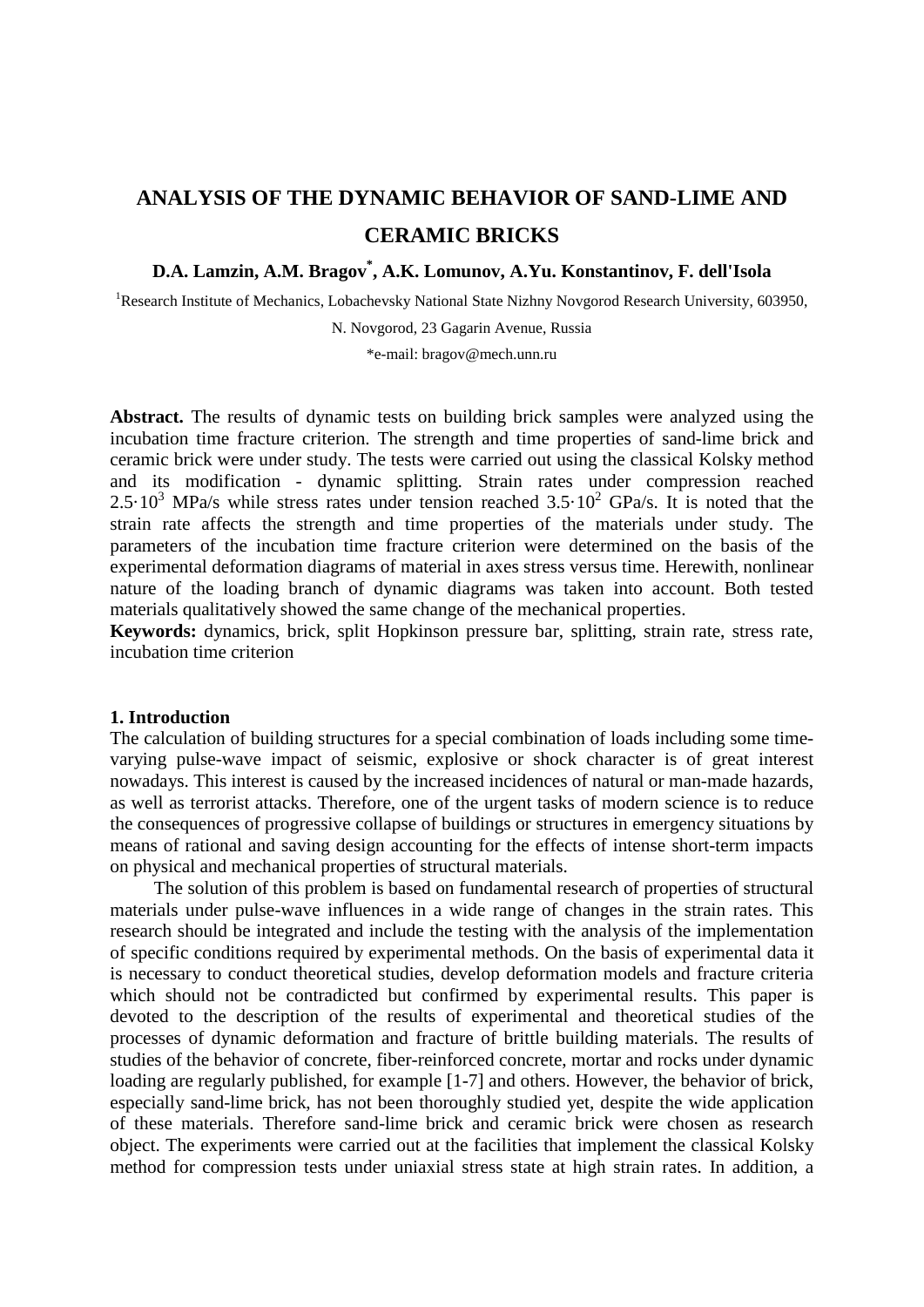# **ANALYSIS OF THE DYNAMIC BEHAVIOR OF SAND-LIME AND CERAMIC BRICKS**

# **D.A. Lamzin, A.M. Bragov\* , A.K. Lomunov, A.Yu. Konstantinov, F. dell'Isola**

<sup>1</sup>Research Institute of Mechanics, Lobachevsky National State Nizhny Novgorod Research University, 603950,

N. Novgorod, 23 Gagarin Avenue, Russia

\*e-mail: bragov@mech.unn.ru

**Abstract.** The results of dynamic tests on building brick samples were analyzed using the incubation time fracture criterion. The strength and time properties of sand-lime brick and ceramic brick were under study. The tests were carried out using the classical Kolsky method and its modification - dynamic splitting. Strain rates under compression reached 2.5·10<sup>3</sup> MPa/s while stress rates under tension reached  $3.5 \cdot 10^2$  GPa/s. It is noted that the strain rate affects the strength and time properties of the materials under study. The parameters of the incubation time fracture criterion were determined on the basis of the experimental deformation diagrams of material in axes stress versus time. Herewith, nonlinear nature of the loading branch of dynamic diagrams was taken into account. Both tested materials qualitatively showed the same change of the mechanical properties.

**Keywords:** dynamics, brick, split Hopkinson pressure bar, splitting, strain rate, stress rate, incubation time criterion

#### **1. Introduction**

The calculation of building structures for a special combination of loads including some timevarying pulse-wave impact of seismic, explosive or shock character is of great interest nowadays. This interest is caused by the increased incidences of natural or man-made hazards, as well as terrorist attacks. Therefore, one of the urgent tasks of modern science is to reduce the consequences of progressive collapse of buildings or structures in emergency situations by means of rational and saving design accounting for the effects of intense short-term impacts on physical and mechanical properties of structural materials.

The solution of this problem is based on fundamental research of properties of structural materials under pulse-wave influences in a wide range of changes in the strain rates. This research should be integrated and include the testing with the analysis of the implementation of specific conditions required by experimental methods. On the basis of experimental data it is necessary to conduct theoretical studies, develop deformation models and fracture criteria which should not be contradicted but confirmed by experimental results. This paper is devoted to the description of the results of experimental and theoretical studies of the processes of dynamic deformation and fracture of brittle building materials. The results of studies of the behavior of concrete, fiber-reinforced concrete, mortar and rocks under dynamic loading are regularly published, for example [1-7] and others. However, the behavior of brick, especially sand-lime brick, has not been thoroughly studied yet, despite the wide application of these materials. Therefore sand-lime brick and ceramic brick were chosen as research object. The experiments were carried out at the facilities that implement the classical Kolsky method for compression tests under uniaxial stress state at high strain rates. In addition, a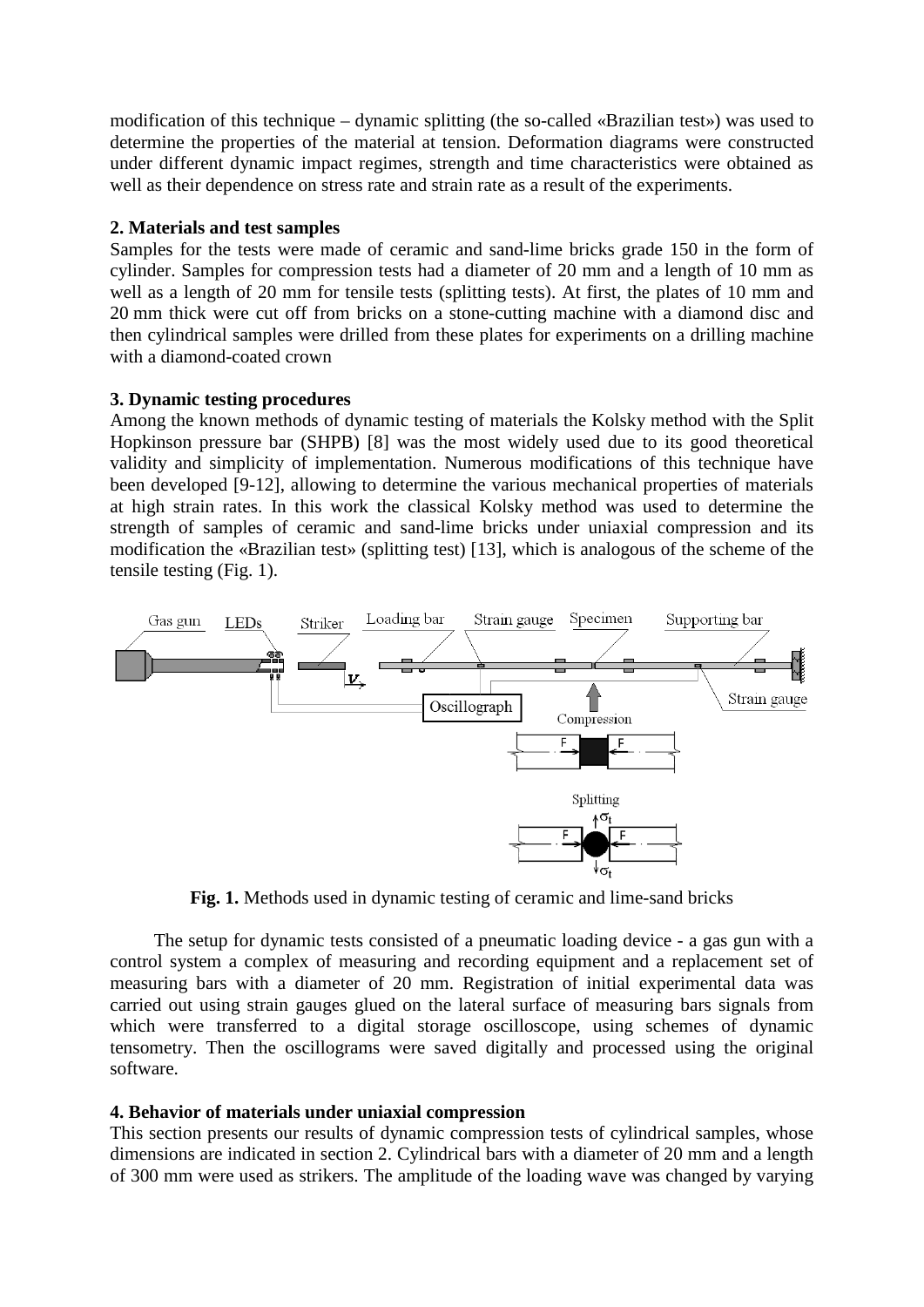modification of this technique – dynamic splitting (the so-called «Brazilian test») was used to determine the properties of the material at tension. Deformation diagrams were constructed under different dynamic impact regimes, strength and time characteristics were obtained as well as their dependence on stress rate and strain rate as a result of the experiments.

## **2. Materials and test samples**

Samples for the tests were made of ceramic and sand-lime bricks grade 150 in the form of cylinder. Samples for compression tests had a diameter of 20 mm and a length of 10 mm as well as a length of 20 mm for tensile tests (splitting tests). At first, the plates of 10 mm and 20 mm thick were cut off from bricks on a stone-cutting machine with a diamond disc and then cylindrical samples were drilled from these plates for experiments on a drilling machine with a diamond-coated crown

## **3. Dynamic testing procedures**

Among the known methods of dynamic testing of materials the Kolsky method with the Split Hopkinson pressure bar (SHPB) [8] was the most widely used due to its good theoretical validity and simplicity of implementation. Numerous modifications of this technique have been developed [9-12], allowing to determine the various mechanical properties of materials at high strain rates. In this work the classical Kolsky method was used to determine the strength of samples of ceramic and sand-lime bricks under uniaxial compression and its modification the «Brazilian test» (splitting test) [13], which is analogous of the scheme of the tensile testing (Fig. 1).



**Fig. 1.** Methods used in dynamic testing of ceramic and lime-sand bricks

The setup for dynamic tests consisted of a pneumatic loading device - a gas gun with a control system a complex of measuring and recording equipment and a replacement set of measuring bars with a diameter of 20 mm. Registration of initial experimental data was carried out using strain gauges glued on the lateral surface of measuring bars signals from which were transferred to a digital storage oscilloscope, using schemes of dynamic tensometry. Then the oscillograms were saved digitally and processed using the original software.

# **4. Behavior of materials under uniaxial compression**

This section presents our results of dynamic compression tests of cylindrical samples, whose dimensions are indicated in section 2. Cylindrical bars with a diameter of 20 mm and a length of 300 mm were used as strikers. The amplitude of the loading wave was changed by varying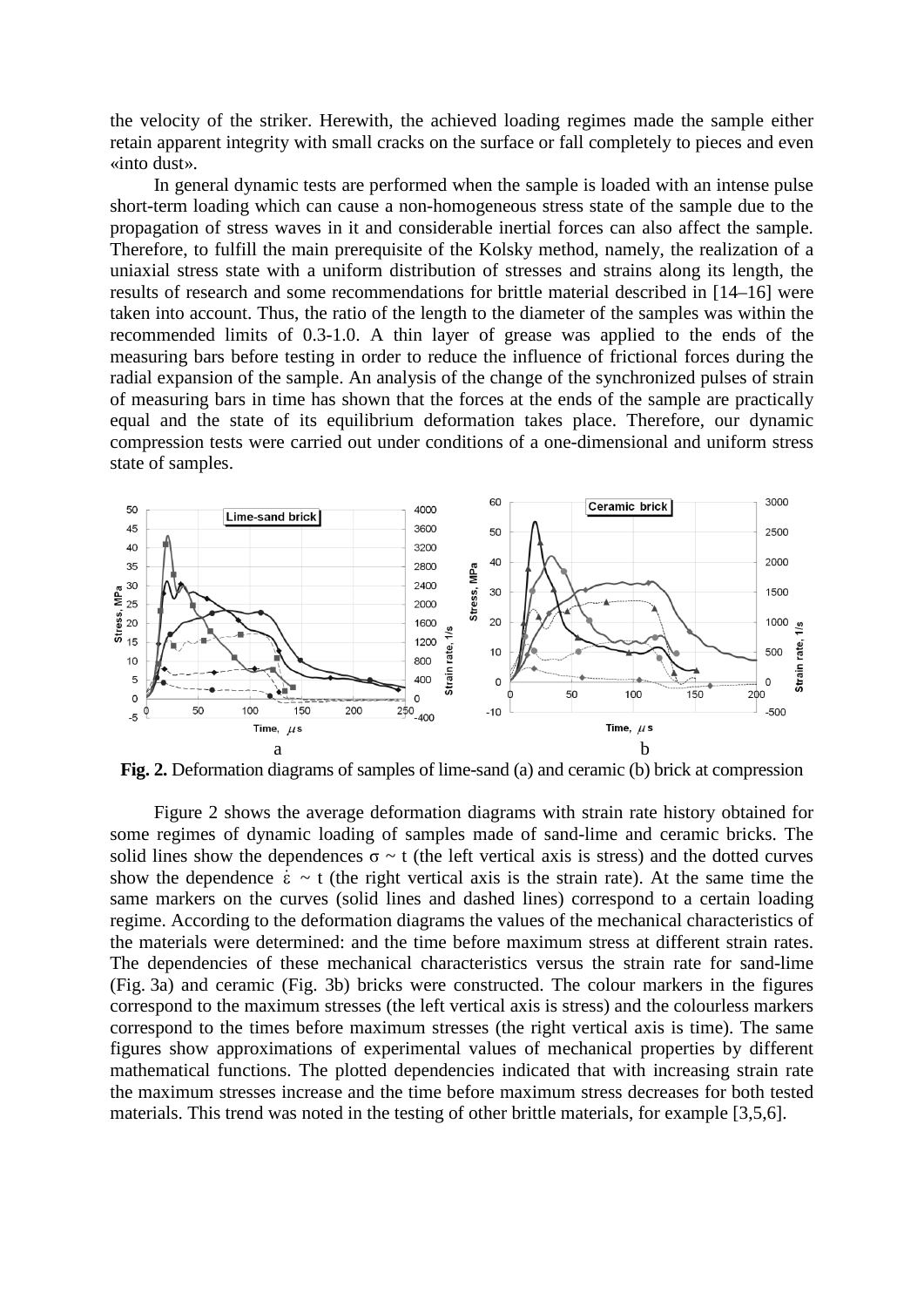the velocity of the striker. Herewith, the achieved loading regimes made the sample either retain apparent integrity with small cracks on the surface or fall completely to pieces and even «into dust».

In general dynamic tests are performed when the sample is loaded with an intense pulse short-term loading which can cause a non-homogeneous stress state of the sample due to the propagation of stress waves in it and considerable inertial forces can also affect the sample. Therefore, to fulfill the main prerequisite of the Kolsky method, namely, the realization of a uniaxial stress state with a uniform distribution of stresses and strains along its length, the results of research and some recommendations for brittle material described in [14–16] were taken into account. Thus, the ratio of the length to the diameter of the samples was within the recommended limits of 0.3-1.0. A thin layer of grease was applied to the ends of the measuring bars before testing in order to reduce the influence of frictional forces during the radial expansion of the sample. An analysis of the change of the synchronized pulses of strain of measuring bars in time has shown that the forces at the ends of the sample are practically equal and the state of its equilibrium deformation takes place. Therefore, our dynamic compression tests were carried out under conditions of a one-dimensional and uniform stress state of samples.



**Fig. 2.** Deformation diagrams of samples of lime-sand (a) and ceramic (b) brick at compression

Figure 2 shows the average deformation diagrams with strain rate history obtained for some regimes of dynamic loading of samples made of sand-lime and ceramic bricks. The solid lines show the dependences  $\sigma \sim t$  (the left vertical axis is stress) and the dotted curves show the dependence  $\dot{\epsilon} \sim t$  (the right vertical axis is the strain rate). At the same time the same markers on the curves (solid lines and dashed lines) correspond to a certain loading regime. According to the deformation diagrams the values of the mechanical characteristics of the materials were determined: and the time before maximum stress at different strain rates. The dependencies of these mechanical characteristics versus the strain rate for sand-lime (Fig. 3a) and ceramic (Fig. 3b) bricks were constructed. The colour markers in the figures correspond to the maximum stresses (the left vertical axis is stress) and the colourless markers correspond to the times before maximum stresses (the right vertical axis is time). The same figures show approximations of experimental values of mechanical properties by different mathematical functions. The plotted dependencies indicated that with increasing strain rate the maximum stresses increase and the time before maximum stress decreases for both tested materials. This trend was noted in the testing of other brittle materials, for example [3,5,6].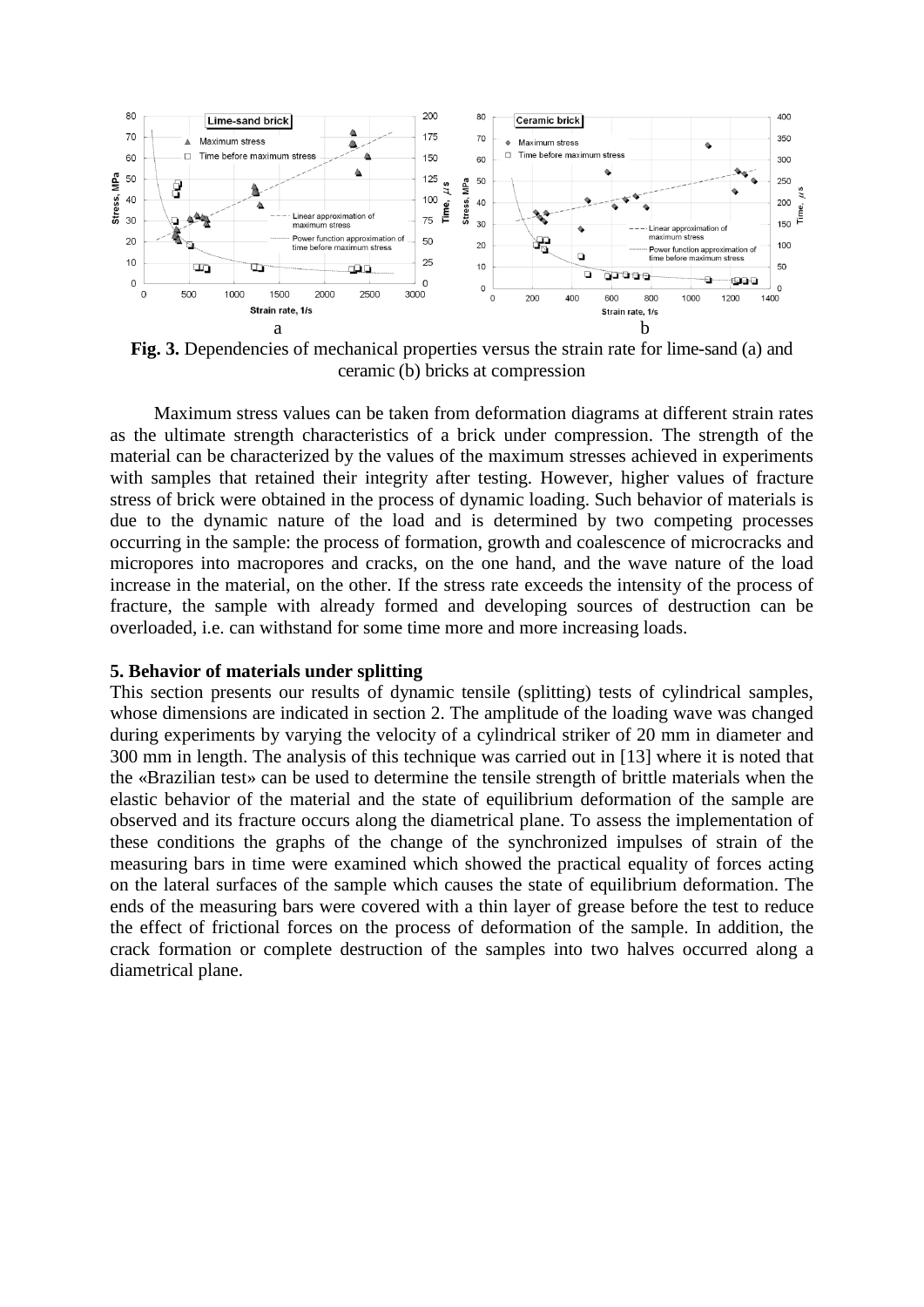

**Fig. 3.** Dependencies of mechanical properties versus the strain rate for lime-sand (a) and ceramic (b) bricks at compression

Maximum stress values can be taken from deformation diagrams at different strain rates as the ultimate strength characteristics of a brick under compression. The strength of the material can be characterized by the values of the maximum stresses achieved in experiments with samples that retained their integrity after testing. However, higher values of fracture stress of brick were obtained in the process of dynamic loading. Such behavior of materials is due to the dynamic nature of the load and is determined by two competing processes occurring in the sample: the process of formation, growth and coalescence of microcracks and micropores into macropores and cracks, on the one hand, and the wave nature of the load increase in the material, on the other. If the stress rate exceeds the intensity of the process of fracture, the sample with already formed and developing sources of destruction can be overloaded, i.e. can withstand for some time more and more increasing loads.

## **5. Behavior of materials under splitting**

This section presents our results of dynamic tensile (splitting) tests of cylindrical samples, whose dimensions are indicated in section 2. The amplitude of the loading wave was changed during experiments by varying the velocity of a cylindrical striker of 20 mm in diameter and 300 mm in length. The analysis of this technique was carried out in [13] where it is noted that the «Brazilian test» can be used to determine the tensile strength of brittle materials when the elastic behavior of the material and the state of equilibrium deformation of the sample are observed and its fracture occurs along the diametrical plane. To assess the implementation of these conditions the graphs of the change of the synchronized impulses of strain of the measuring bars in time were examined which showed the practical equality of forces acting on the lateral surfaces of the sample which causes the state of equilibrium deformation. The ends of the measuring bars were covered with a thin layer of grease before the test to reduce the effect of frictional forces on the process of deformation of the sample. In addition, the crack formation or complete destruction of the samples into two halves occurred along a diametrical plane.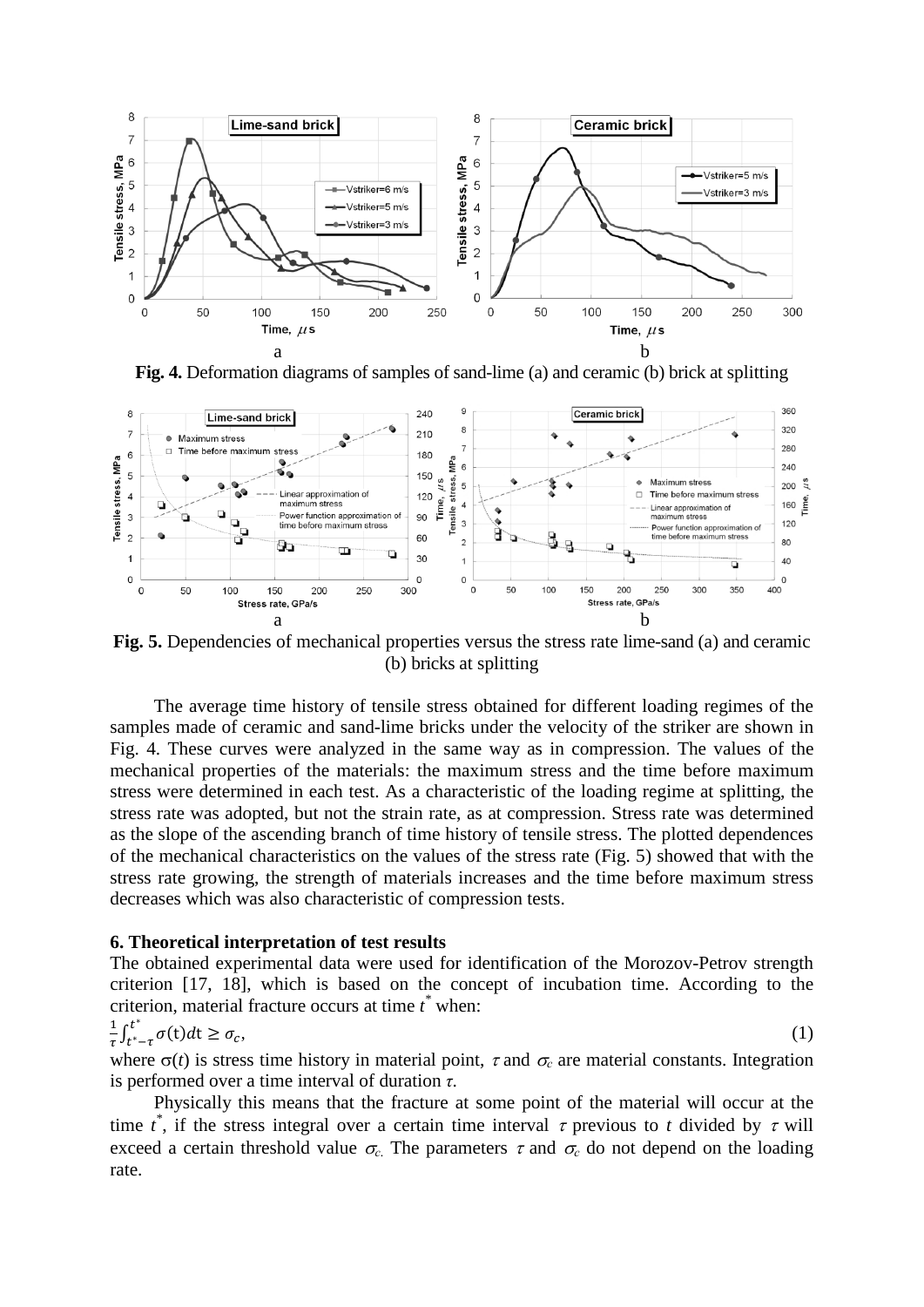Analysis of the dynamic behavior of sand-lime and ceramic bricks 695



**Fig. 4.** Deformation diagrams of samples of sand-lime (a) and ceramic (b) brick at splitting



**Fig. 5.** Dependencies of mechanical properties versus the stress rate lime-sand (a) and ceramic (b) bricks at splitting

The average time history of tensile stress obtained for different loading regimes of the samples made of ceramic and sand-lime bricks under the velocity of the striker are shown in Fig. 4. These curves were analyzed in the same way as in compression. The values of the mechanical properties of the materials: the maximum stress and the time before maximum stress were determined in each test. As a characteristic of the loading regime at splitting, the stress rate was adopted, but not the strain rate, as at compression. Stress rate was determined as the slope of the ascending branch of time history of tensile stress. The plotted dependences of the mechanical characteristics on the values of the stress rate (Fig. 5) showed that with the stress rate growing, the strength of materials increases and the time before maximum stress decreases which was also characteristic of compression tests.

#### **6. Theoretical interpretation of test results**

The obtained experimental data were used for identification of the Morozov-Petrov strength criterion [17, 18], which is based on the concept of incubation time. According to the criterion, material fracture occurs at time *t \** when:

$$
\frac{1}{\tau} \int_{t^*-\tau}^{t^*} \sigma(t) dt \ge \sigma_c,
$$
\n(1)

where  $\sigma(t)$  is stress time history in material point,  $\tau$  and  $\sigma_c$  are material constants. Integration is performed over a time interval of duration *τ*.

Physically this means that the fracture at some point of the material will occur at the time  $t^*$ , if the stress integral over a certain time interval  $\tau$  previous to  $t$  divided by  $\tau$  will exceed a certain threshold value  $\sigma_c$ . The parameters  $\tau$  and  $\sigma_c$  do not depend on the loading rate.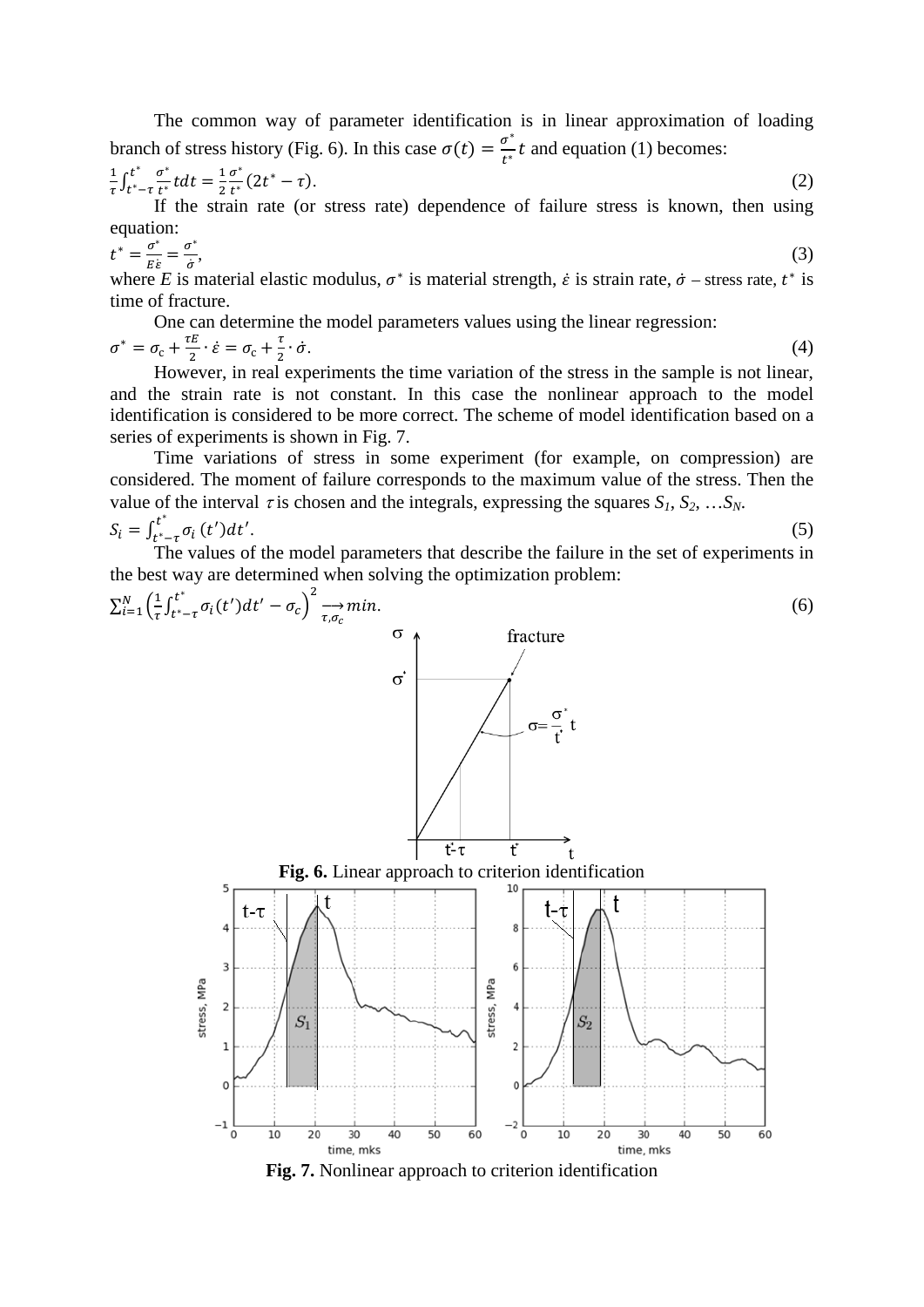The common way of parameter identification is in linear approximation of loading branch of stress history (Fig. 6). In this case  $\sigma(t) = \frac{\sigma^*}{t^*}t$  and equation (1) becomes:

$$
\frac{1}{\tau} \int_{t^* - \tau}^{t^*} \frac{\sigma^*}{t^*} t dt = \frac{1}{2} \frac{\sigma^*}{t^*} (2t^* - \tau).
$$
 (2)

If the strain rate (or stress rate) dependence of failure stress is known, then using equation:

$$
t^* = \frac{\sigma^*}{E\dot{\varepsilon}} = \frac{\sigma^*}{\dot{\sigma}},\tag{3}
$$

where *E* is material elastic modulus,  $\sigma^*$  is material strength,  $\dot{\varepsilon}$  is strain rate,  $\dot{\sigma}$  – stress rate,  $t^*$  is time of fracture.

One can determine the model parameters values using the linear regression:  $\sigma^* = \sigma_c + \frac{\tau E}{2} \cdot \dot{\varepsilon} = \sigma_c + \frac{\tau E}{2}$  $\frac{1}{2} \cdot \dot{\sigma}$ . (4)

However, in real experiments the time variation of the stress in the sample is not linear, and the strain rate is not constant. In this case the nonlinear approach to the model identification is considered to be more correct. The scheme of model identification based on a series of experiments is shown in Fig. 7.

Time variations of stress in some experiment (for example, on compression) are considered. The moment of failure corresponds to the maximum value of the stress. Then the value of the interval  $\tau$  is chosen and the integrals, expressing the squares  $S_1$ ,  $S_2$ , ...  $S_N$ .

$$
S_i = \int_{t^*-\tau}^{t^*} \sigma_i(t')dt'.
$$
\n<sup>(5)</sup>

The values of the model parameters that describe the failure in the set of experiments in the best way are determined when solving the optimization problem:

$$
\sum_{i=1}^{N} \left(\frac{1}{\tau} \int_{t^*-\tau}^{t^*} \sigma_i(t') dt' - \sigma_c\right)^2 \xrightarrow[\tau, \sigma_c]{\tau, \sigma_c} \text{min.}
$$
\n
$$
\sigma \left( \int_{t^*-\tau}^{\tau} \sigma_i(t') dt' - \sigma_c\right)^2 \xrightarrow[\tau, \tau]{} \sigma = \frac{\sigma}{t} \tau
$$
\nFig. 6. Linear approach to criterion identification

\n
$$
\int_{\frac{\sigma}{\sigma}}^{\frac{\sigma}{2}} \frac{t-\tau}{\tau} \int_{\frac{\sigma}{\sigma}}^{\frac{\sigma}{2}} \frac{t-\tau}{\tau} \int_{\frac{\sigma}{\sigma}}^{\frac{\sigma}{2}} \frac{t-\tau}{\tau} \int_{\frac{\sigma}{\sigma}}^{\frac{\sigma}{2}} \frac{t-\tau}{\tau} \int_{\frac{\sigma}{\sigma}}^{\frac{\sigma}{2}} \frac{t-\tau}{\tau} \int_{\frac{\sigma}{\sigma}}^{\frac{\sigma}{2}} \frac{t-\tau}{\tau} \int_{\frac{\sigma}{\sigma}}^{\frac{\sigma}{2}} \frac{t-\tau}{\tau} \int_{\frac{\sigma}{\sigma}}^{\frac{\sigma}{2}} \frac{t-\tau}{\tau} \int_{\frac{\sigma}{\sigma}}^{\frac{\sigma}{2}} \frac{t-\tau}{\tau} \int_{\frac{\sigma}{\sigma}}^{\frac{\sigma}{2}} \frac{t-\tau}{\tau} \int_{\frac{\sigma}{\sigma}}^{\frac{\sigma}{2}} \frac{t-\tau}{\tau} \int_{\frac{\sigma}{\sigma}}^{\frac{\sigma}{2}} \frac{t-\tau}{\tau} \int_{\frac{\sigma}{\sigma}}^{\frac{\sigma}{2}} \frac{t-\tau}{\tau} \int_{\frac{\sigma}{\sigma}}^{\frac{\sigma}{2}} \frac{t-\tau}{\tau} \int_{\frac{\sigma}{\sigma}}^{\frac{\sigma}{2}} \frac{t-\tau}{\tau} \int_{\frac{\sigma}{\sigma}}^{\frac{\sigma}{2}} \frac{t-\tau}{\tau} \int_{\frac{\sigma}{\sigma}}^{\frac{\sigma}{2}} \frac{t-\tau}{\tau} \int_{\frac{\sigma}{\sigma}}^{\frac{\sigma}{2}} \frac{t-\tau}{\tau} \int_{\frac{\sigma}{\sigma}}^{\frac{\sigma}{2}} \frac{t-\tau}{\tau} \int_{\frac{\sigma}{\sigma}}^{\frac{\sigma}{2}} \frac{t-\tau}{\tau} \int_{\frac{\sigma}{\sigma}}^{\frac{\sigma}{2}} \
$$

stres  $S_{\rm i}$  $\epsilon$  $-2$  $10$  $\overline{20}$  $\overline{\mathcal{E}}$  $40$  $50$  $\overline{60}$  $10$  $\overline{20}$  $30$  $40$ 50  $\overline{60}$ time, mks time, mks

**Fig. 7.** Nonlinear approach to criterion identification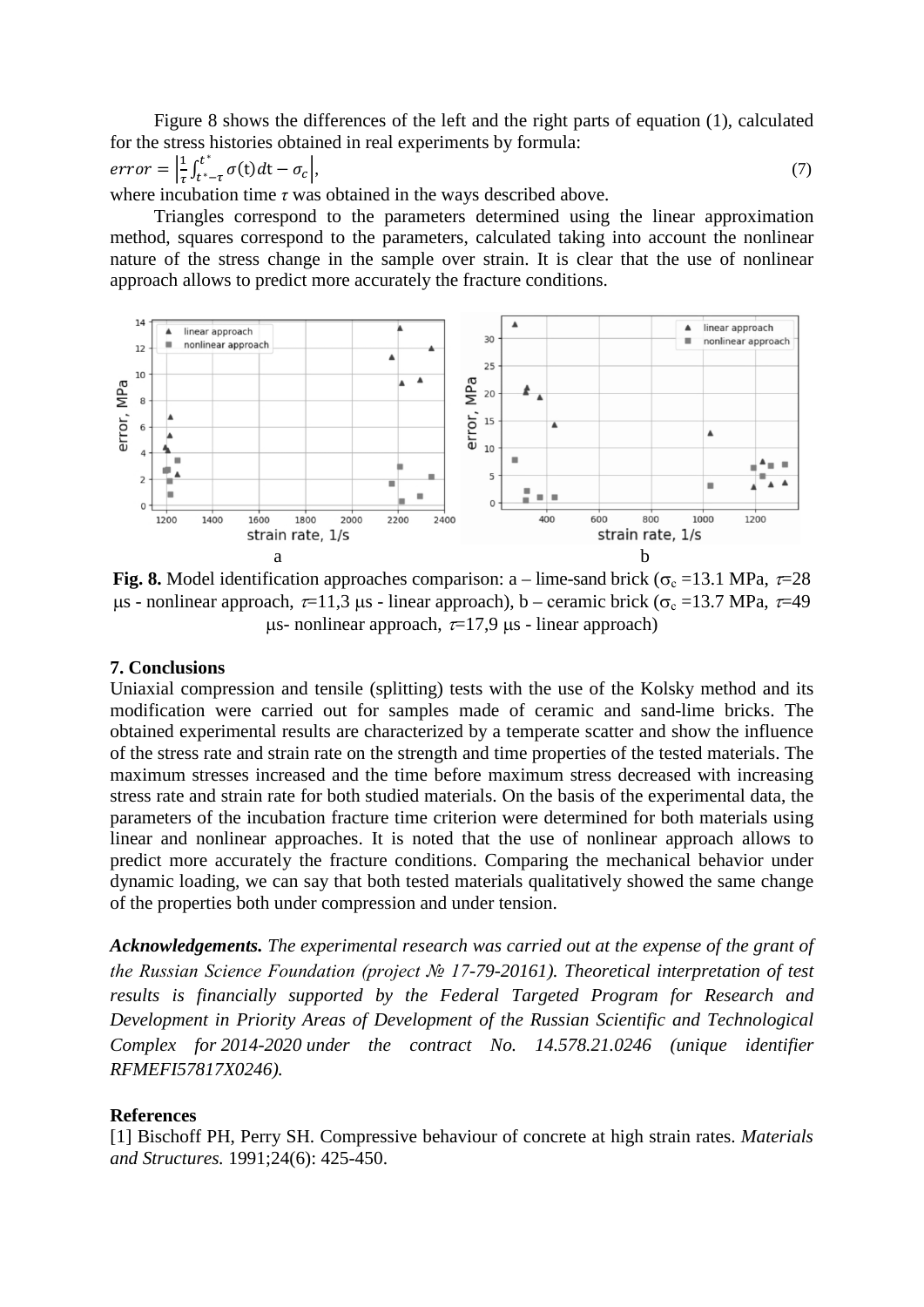Analysis of the dynamic behavior of sand-lime and ceramic bricks 697

Figure 8 shows the differences of the left and the right parts of equation (1), calculated for the stress histories obtained in real experiments by formula:

$$
error = \left| \frac{1}{\tau} \int_{t^* - \tau}^{t^*} \sigma(t) dt - \sigma_c \right|,\tag{7}
$$

where incubation time  $\tau$  was obtained in the ways described above.

Triangles correspond to the parameters determined using the linear approximation method, squares correspond to the parameters, calculated taking into account the nonlinear nature of the stress change in the sample over strain. It is clear that the use of nonlinear approach allows to predict more accurately the fracture conditions.



**Fig. 8.** Model identification approaches comparison: a – lime-sand brick ( $\sigma_c$  =13.1 MPa,  $\tau$ =28 μs - nonlinear approach,  $\tau$ =11,3 μs - linear approach), b – ceramic brick (σ<sub>c</sub> =13.7 MPa,  $\tau$ =49 μs- nonlinear approach,  $\tau$ =17,9 μs - linear approach)

## **7. Conclusions**

Uniaxial compression and tensile (splitting) tests with the use of the Kolsky method and its modification were carried out for samples made of ceramic and sand-lime bricks. The obtained experimental results are characterized by a temperate scatter and show the influence of the stress rate and strain rate on the strength and time properties of the tested materials. The maximum stresses increased and the time before maximum stress decreased with increasing stress rate and strain rate for both studied materials. On the basis of the experimental data, the parameters of the incubation fracture time criterion were determined for both materials using linear and nonlinear approaches. It is noted that the use of nonlinear approach allows to predict more accurately the fracture conditions. Comparing the mechanical behavior under dynamic loading, we can say that both tested materials qualitatively showed the same change of the properties both under compression and under tension.

*Acknowledgements. The experimental research was carried out at the expense of the grant of the Russian Science Foundation (project № 17-79-20161). Theoretical interpretation of test results is financially supported by the Federal Targeted Program for Research and Development in Priority Areas of Development of the Russian Scientific and Technological Complex for 2014-2020 under the contract No. 14.578.21.0246 (unique identifier RFMEFI57817X0246).* 

### **References**

[1] Bischoff PH, Perry SH. Compressive behaviour of concrete at high strain rates. *Materials and Structures.* 1991;24(6): 425-450.